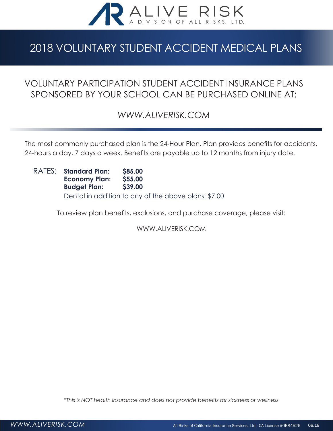

## 2018 VOLUNTARY STUDENT ACCIDENT MEDICAL PLANS

### VOLUNTARY PARTICIPATION STUDENT ACCIDENT INSURANCE PLANS SPONSORED BY YOUR SCHOOL CAN BE PURCHASED ONLINE AT:

*WWW.ALIVERISK.COM*

The most commonly purchased plan is the 24-Hour Plan. Plan provides benefits for accidents, 24-hours a day, 7 days a week. Benefits are payable up to 12 months from injury date.

 RATES: **Standard Plan: \$85.00 Economy Plan: \$55.00 Budget Plan: \$39.00** Dental in addition to any of the above plans: \$7.00

To review plan benefits, exclusions, and purchase coverage, please visit:

WWW.ALIVERISK.COM

*\*This is NOT health insurance and does not provide benefits for sickness or wellness*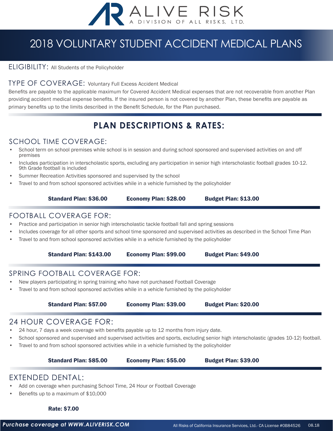

## 2018 VOLUNTARY STUDENT ACCIDENT MEDICAL PLANS

#### ELIGIBILITY: All Students of the Policyholder

#### TYPE OF COVERAGE: Voluntary Full Excess Accident Medical

Benefits are payable to the applicable maximum for Covered Accident Medical expenses that are not recoverable from another Plan providing accident medical expense benefits. If the insured person is not covered by another Plan, these benefits are payable as primary benefits up to the limits described in the Benefit Schedule, for the Plan purchased.

## **PLAN DESCRIPTIONS & RATES:**

#### SCHOOL TIME COVERAGE:

- School term on school premises while school is in session and during school sponsored and supervised activities on and off premises
- Includes participation in interscholastic sports, excluding any participation in senior high interscholastic football grades 10-12. 9th Grade football is included
- Summer Recreation Activities sponsored and supervised by the school
- Travel to and from school sponsored activities while in a vehicle furnished by the policyholder

#### Standard Plan: \$36.00 Economy Plan: \$28.00 Budget Plan: \$13.00

#### FOOTBALL COVERAGE FOR:

- Practice and participation in senior high interscholastic tackle football fall and spring sessions
- Includes coverage for all other sports and school time sponsored and supervised activities as described in the School Time Plan
- Travel to and from school sponsored activities while in a vehicle furnished by the policyholder

#### Standard Plan: \$143.00 Economy Plan: \$99.00 Budget Plan: \$49.00

#### SPRING FOOTBALL COVERAGE FOR:

- New players participating in spring training who have not purchased Football Coverage
- Travel to and from school sponsored activities while in a vehicle furnished by the policyholder

#### Standard Plan: \$57.00 Economy Plan: \$39.00 Budget Plan: \$20.00

#### 24 HOUR COVERAGE FOR:

- 24 hour, 7 days a week coverage with benefits payable up to 12 months from injury date.
- School sponsored and supervised and supervised activities and sports, excluding senior high interscholastic (grades 10-12) football.
- Travel to and from school sponsored activities while in a vehicle furnished by the policyholder

Standard Plan: \$85.00 Economy Plan: \$55.00 Budget Plan: \$39.00

#### EXTENDED DENTAL:

- Add on coverage when purchasing School Time, 24 Hour or Football Coverage
- Benefits up to a maximum of \$10,000

#### Rate: \$7.00